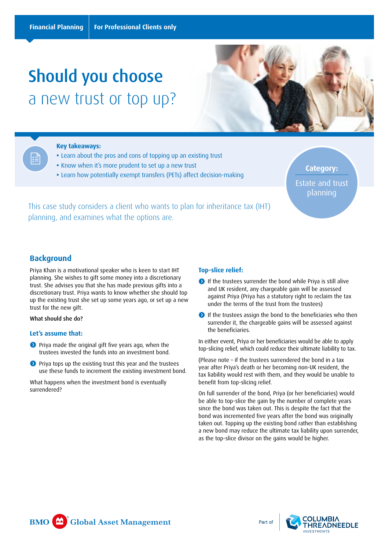# Should you choose a new trust or top up?



#### **Key takeaways:**

- **•** Learn about the pros and cons of topping up an existing trust
- **•** Know when it's more prudent to set up a new trust
- **•** Learn how potentially exempt transfers (PETs) affect decision-making

**Category:**  Estate and trust planning

This case study considers a client who wants to plan for inheritance tax (IHT) planning, and examines what the options are.

# **Background**

Priya Khan is a motivational speaker who is keen to start IHT planning. She wishes to gift some money into a discretionary trust. She advises you that she has made previous gifts into a discretionary trust. Priya wants to know whether she should top up the existing trust she set up some years ago, or set up a new trust for the new gift.

What should she do?

#### **Let's assume that:**

- **O** Priya made the original gift five years ago, when the trustees invested the funds into an investment bond.
- **O** Priya tops up the existing trust this year and the trustees use these funds to increment the existing investment bond.

What happens when the investment bond is eventually surrendered?

#### **Top-slice relief:**

- **If the trustees surrender the bond while Priya is still alive** and UK resident, any chargeable gain will be assessed against Priya (Priya has a statutory right to reclaim the tax under the terms of the trust from the trustees)
- If the trustees assign the bond to the beneficiaries who then surrender it, the chargeable gains will be assessed against the beneficiaries.

In either event, Priya or her beneficiaries would be able to apply top-slicing relief, which could reduce their ultimate liability to tax.

(Please note – if the trustees surrendered the bond in a tax year after Priya's death or her becoming non-UK resident, the tax liability would rest with them, and they would be unable to benefit from top-slicing relief.

On full surrender of the bond, Priya (or her beneficiaries) would be able to top-slice the gain by the number of complete years since the bond was taken out. This is despite the fact that the bond was incremented five years after the bond was originally taken out. Topping up the existing bond rather than establishing a new bond may reduce the ultimate tax liability upon surrender, as the top-slice divisor on the gains would be higher.



Part of

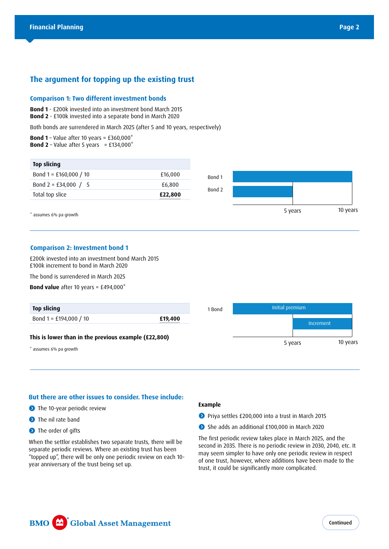# **The argument for topping up the existing trust**

#### **Comparison 1: Two different investment bonds**

**Bond 1** - £200k invested into an investment bond March 2015 **Bond 2** - £100k invested into a separate bond in March 2020

Both bonds are surrendered in March 2025 (after 5 and 10 years, respectively)

**Bond 1** – Value after 10 years = £360,000\* **Bond 2** – Value after 5 years = £134,000 $*$ 

| * assumes 6% pa growth   |         |        | 5 years | 10 years |
|--------------------------|---------|--------|---------|----------|
| Total top slice          | £22,800 |        |         |          |
| Bond 2 = £34,000 / 5     | £6,800  | Bond 2 |         |          |
| Bond $1 = £160,000 / 10$ | £16,000 | Bond 1 |         |          |
| <b>Top slicing</b>       |         |        |         |          |

#### **Comparison 2: Investment bond 1**

£200k invested into an investment bond March 2015 £100k increment to bond in March 2020

The bond is surrendered in March 2025

**Bond value** after 10 years = £494,000\*



## **But there are other issues to consider. These include:**

- **D** The 10-year periodic review
- **O** The nil rate band
- **O** The order of gifts

When the settlor establishes two separate trusts, there will be separate periodic reviews. Where an existing trust has been "topped up", there will be only one periodic review on each 10 year anniversary of the trust being set up.

#### **Example**

- **P** Priya settles £200,000 into a trust in March 2015
- She adds an additional £100,000 in March 2020

The first periodic review takes place in March 2025, and the second in 2035. There is no periodic review in 2030, 2040, etc. It may seem simpler to have only one periodic review in respect of one trust, however, where additions have been made to the trust, it could be significantly more complicated.

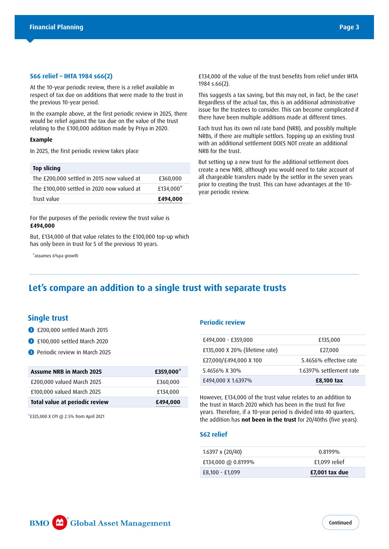#### **S66 relief – IHTA 1984 s66(2)**

At the 10-year periodic review, there is a relief available in respect of tax due on additions that were made to the trust in the previous 10-year period.

In the example above, at the first periodic review in 2025, there would be relief against the tax due on the value of the trust relating to the £100,000 addition made by Priya in 2020.

#### **Example**

In 2025, the first periodic review takes place

| Top slicing                                |           |
|--------------------------------------------|-----------|
| The £200,000 settled in 2015 now valued at | £360,000  |
| The £100,000 settled in 2020 now valued at | £134,000* |
| Trust value                                | £494,000  |

For the purposes of the periodic review the trust value is **£494,000**

But, £134,000 of that value relates to the £100,000 top-up which has only been in trust for 5 of the previous 10 years.

\*assumes 6%pa growth

£134,000 of the value of the trust benefits from relief under IHTA 1984 s.66(2).

This suggests a tax saving, but this may not, in fact, be the case! Regardless of the actual tax, this is an additional administrative issue for the trustees to consider. This can become complicated if there have been multiple additions made at different times.

Each trust has its own nil rate band (NRB), and possibly multiple NRBs, if there are multiple settlors. Topping up an existing trust with an additional settlement DOES NOT create an additional NRB for the trust.

But setting up a new trust for the additional settlement does create a new NRB, although you would need to take account of all chargeable transfers made by the settlor in the seven years prior to creating the trust. This can have advantages at the 10 year periodic review.

# **Let's compare an addition to a single trust with separate trusts**

# **Single trust**

- £200,000 settled March 2015
- **100,000 settled March 2020**
- **Periodic review in March 2025**

| <b>Assume NRB in March 2025</b> | £359,000* |
|---------------------------------|-----------|
| £200,000 valued March 2025      | £360,000  |
| £100,000 valued March 2025      | £134,000  |
| Total value at periodic review  | £494,000  |

\*£325,000 X CPI @ 2.5% from April 2021

#### **Periodic review**

| £494,000 - £359,000            | £135,000                |
|--------------------------------|-------------------------|
| £135,000 X 20% (lifetime rate) | £27,000                 |
| £27,000/£494,000 X 100         | 5.4656% effective rate  |
| 5.4656% X 30%                  | 1.6397% settlement rate |
| £494,000 X 1.6397%             | £8,100 tax              |

However, £134,000 of the trust value relates to an addition to the trust in March 2020 which has been in the trust for five years. Therefore, if a 10-year period is divided into 40 quarters, the addition has **not been in the trust** for 20/40ths (five years).

#### **S62 relief**

| $1.6397 \times (20/40)$ | 0.8199%        |
|-------------------------|----------------|
| £134,000 @ 0.8199%      | £1,099 relief  |
| £8,100 - £1,099         | £7,001 tax due |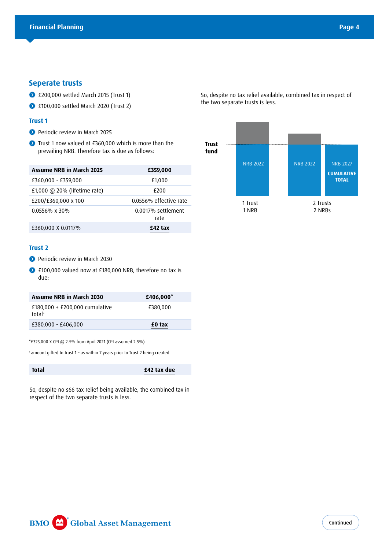### **Seperate trusts**

- **1200,000 settled March 2015 (Trust 1)**
- **100,000 settled March 2020 (Trust 2)**

#### **Trust 1**

- **Periodic review in March 2025**
- Trust 1 now valued at £360,000 which is more than the prevailing NRB. Therefore tax is due as follows:

| <b>Assume NRB in March 2025</b> | £359,000                   |
|---------------------------------|----------------------------|
| £360,000 - £359,000             | £1,000                     |
| £1,000 $@$ 20% (lifetime rate)  | £200                       |
| £200/£360,000 x 100             | 0.0556% effective rate     |
| $0.0556\% \times 30\%$          | 0.0017% settlement<br>rate |
| £360,000 X 0.0117%              | £42 tax                    |

#### **Trust 2**

- **O** Periodic review in March 2030
- £100,000 valued now at £180,000 NRB, therefore no tax is due:

| Assume NRB in March 2030                   | £406,000* |
|--------------------------------------------|-----------|
| £180,000 + £200,000 cumulative<br>$total+$ | £380,000  |
| £380,000 - £406,000                        | £0 tax    |

\*£325,000 X CPI @ 2.5% from April 2021 (CPI assumed 2.5%)

+ amount gifted to trust 1 – as within 7 years prior to Trust 2 being created

**Total £42 tax due**

So, despite no s66 tax relief being available, the combined tax in respect of the two separate trusts is less.

So, despite no tax relief available, combined tax in respect of the two separate trusts is less.

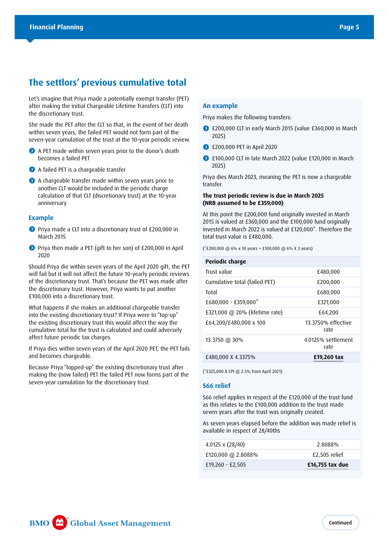# **The settlors' previous cumulative total**

Let's imagine that Priya made a potentially exempt transfer (PET) after making the initial Chargeable Lifetime Transfers (CLT) into the discretionary trust.

She made the PET after the CLT so that, in the event of her death within seven years, the failed PET would not form part of the seven-year cumulation of the trust at the 10-year periodic review.

- A PET made within seven years prior to the donor's death becomes a failed PET
- A failed PET is a chargeable transfer
- A chargeable transfer made within seven years prior to another CLT would be included in the periodic charge calculation of that CLT (discretionary trust) at the 10-year anniversary

#### **Example**

- **O** Priya made a CLT into a discretionary trust of £200,000 in March 2015
- **O** Priva then made a PET (gift to her son) of £200,000 in April 2020

Should Priya die within seven years of the April 2020 gift, the PET will fail but it will not affect the future 10-yearly periodic reviews of the discretionary trust. That's because the PET was made after the discretionary trust. However, Priya wants to put another £100,000 into a discretionary trust.

What happens if she makes an additional chargeable transfer into the existing discretionary trust? If Priya were to "top-up" the existing discretionary trust this would affect the way the cumulative total for the trust is calculated and could adversely affect future periodic tax charges.

If Priya dies within seven years of the April 2020 PET, the PET fails and becomes chargeable.

Because Priya "topped-up" the existing discretionary trust after making the (now failed) PET the failed PET now forms part of the seven-year cumulation for the discretionary trust.

#### **An example**

Priya makes the following transfers:

- £200,000 CLT in early March 2015 (value £360,000 in March 2025)
- **1200,000 PET in April 2020**
- £100,000 CLT in late March 2022 (value £120,000 in March 2025)

Priya dies March 2023, meaning the PET is now a chargeable transfer.

#### **The trust periodic review is due in March 2025 (NRB assumed to be £359,000)**

At this point the £200,000 fund originally invested in March 2015 is valued at £360,000 and the £100,000 fund originally invested in March 2022 is valued at £120,000\*. Therefore the total trust value is £480,000.

(\*£200,000 @ 6% x 10 years + £100,000 @ 6% X 3 years)

| £480,000                   |
|----------------------------|
| £200,000                   |
| £680,000                   |
| £321,000                   |
| £64,200                    |
| 13.3750% effective<br>rate |
| 4.0125% settlement<br>rate |
| £19,260 tax                |
|                            |

(\*£325,000 X CPI @ 2.5% from April 2021)

#### **S66 relief**

S66 relief applies in respect of the £120,000 of the trust fund as this relates to the £100,000 addition to the trust made seven years after the trust was originally created.

As seven years elapsed before the addition was made relief is available in respect of 28/40ths

| 4.0125 x $(28/40)$ | 2.8088%         |
|--------------------|-----------------|
| £120,000 @ 2.8088% | £2,505 relief   |
| £19,260 - £2,505   | £16,755 tax due |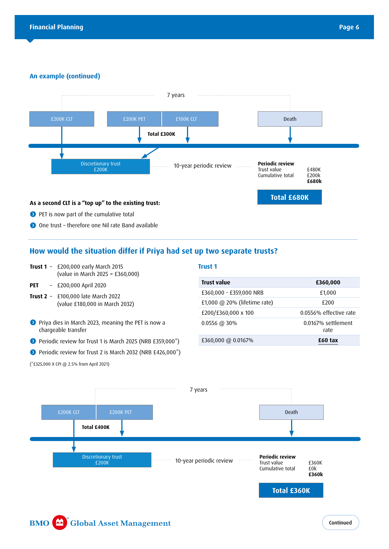#### **An example (continued)**



# **How would the situation differ if Priya had set up two separate trusts?**

- **Trust 1** £200,000 early March 2015 (value in March 2025 = £360,000)
- **PET** £200,000 April 2020
- **Trust 2** £100,000 late March 2022 (value £180,000 in March 2032)
- **P** Priya dies in March 2023, meaning the PET is now a chargeable transfer
- Periodic review for Trust 1 is March 2025 (NRB £359,000<sup>\*</sup>)
- Periodic review for Trust 2 is March 2032 (NRB £426,000<sup>\*</sup>)

(\*£325,000 X CPI @ 2.5% from April 2021)

#### **Trust 1**

| <b>Trust value</b>             | £360,000                   |
|--------------------------------|----------------------------|
| £360,000 - £359,000 NRB        | £1,000                     |
| £1,000 $@$ 20% (lifetime rate) | £200                       |
| £200/£360,000 x 100            | 0.0556% effective rate     |
| $0.0556 \ @ 30\%$              | 0.0167% settlement<br>rate |
| £360,000 @ 0.0167%             | £60 tax                    |

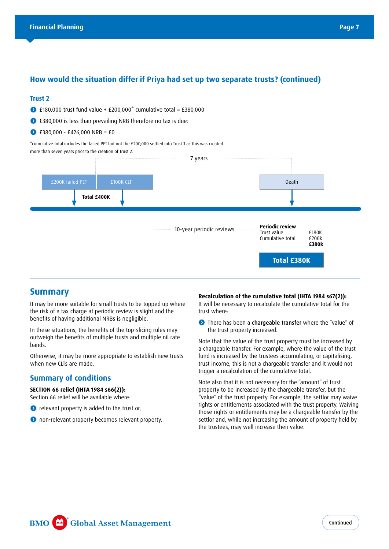# **How would the situation differ if Priya had set up two separate trusts? (continued)**

#### **Trust 2**

- $\bullet$  £180,000 trust fund value + £200,000<sup>\*</sup> cumulative total = £380,000
- £380,000 is less than prevailing NRB therefore no tax is due:
- $\bigodot$  £380,000 £426,000 NRB = £0

\*cumulative total includes the failed PET but not the £200,000 settled into Trust 1 as this was created more than seven years prior to the creation of Trust 2.



# **Summary**

It may be more suitable for small trusts to be topped up where the risk of a tax charge at periodic review is slight and the benefits of having additional NRBs is negligible.

In these situations, the benefits of the top-slicing rules may outweigh the benefits of multiple trusts and multiple nil rate bands.

Otherwise, it may be more appropriate to establish new trusts when new CLTs are made.

# **Summary of conditions**

#### **SECTION 66 relief (IHTA 1984 s66(2)):**

- Section 66 relief will be available where:
- **O** relevant property is added to the trust or,
- **O** non-relevant property becomes relevant property.

#### **Recalculation of the cumulative total (IHTA 1984 s67(2)):**

It will be necessary to recalculate the cumulative total for the trust where:

**O** There has been a chargeable transfer where the "value" of the trust property increased.

Note that the value of the trust property must be increased by a chargeable transfer. For example, where the value of the trust fund is increased by the trustees accumulating, or capitalising, trust income, this is not a chargeable transfer and it would not trigger a recalculation of the cumulative total.

Note also that it is not necessary for the "amount" of trust property to be increased by the chargeable transfer, but the "value" of the trust property. For example, the settlor may waive rights or entitlements associated with the trust property. Waiving those rights or entitlements may be a chargeable transfer by the settlor and, while not increasing the amount of property held by the trustees, may well increase their value.